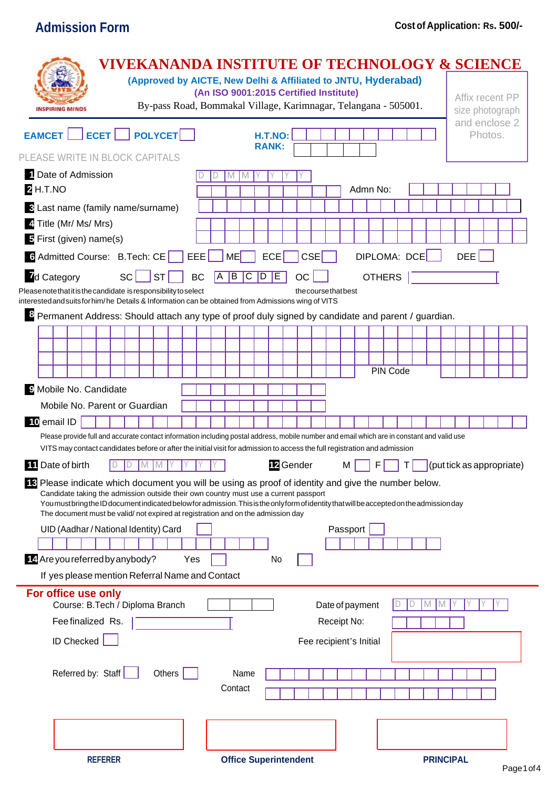# **Admission Form Cost of Application: Rs. 500/-**

| <b>VIVEKANANDA INSTITUTE OF TECHNOLOGY &amp; SCIENCE</b><br>(Approved by AICTE, New Delhi & Affiliated to JNTU, Hyderabad)<br>By-pass Road, Bommakal Village, Karimnagar, Telangana - 505001.<br><b>NSPIRING MINDS</b>                                                                                                                                                                                                                                                                                                  | (An ISO 9001:2015 Certified Institute) |                                                 |           |                         |                 |               |              |     |                           | Affix recent PP<br>size photograph |         |  |
|-------------------------------------------------------------------------------------------------------------------------------------------------------------------------------------------------------------------------------------------------------------------------------------------------------------------------------------------------------------------------------------------------------------------------------------------------------------------------------------------------------------------------|----------------------------------------|-------------------------------------------------|-----------|-------------------------|-----------------|---------------|--------------|-----|---------------------------|------------------------------------|---------|--|
| EAMCET   ECET   POLYCET                                                                                                                                                                                                                                                                                                                                                                                                                                                                                                 |                                        | <b>H.T.NO:</b><br><b>RANK:</b>                  |           |                         |                 |               |              |     |                           | and enclose 2                      | Photos. |  |
| PLEASE WRITE IN BLOCK CAPITALS                                                                                                                                                                                                                                                                                                                                                                                                                                                                                          |                                        |                                                 |           |                         |                 |               |              |     |                           |                                    |         |  |
| 1 Date of Admission                                                                                                                                                                                                                                                                                                                                                                                                                                                                                                     |                                        |                                                 |           |                         |                 |               |              |     |                           |                                    |         |  |
| <b>2 H.T.NO</b>                                                                                                                                                                                                                                                                                                                                                                                                                                                                                                         |                                        |                                                 |           |                         |                 | Admn No:      |              |     |                           |                                    |         |  |
| <b>B</b> Last name (family name/surname)                                                                                                                                                                                                                                                                                                                                                                                                                                                                                |                                        |                                                 |           |                         |                 |               |              |     |                           |                                    |         |  |
| 4 Title (Mr/ Ms/ Mrs)                                                                                                                                                                                                                                                                                                                                                                                                                                                                                                   |                                        |                                                 |           |                         |                 |               |              |     |                           |                                    |         |  |
| 5 First (given) name(s)                                                                                                                                                                                                                                                                                                                                                                                                                                                                                                 |                                        |                                                 |           |                         |                 |               |              |     |                           |                                    |         |  |
| 6 Admitted Course: B.Tech: CE<br>EEE                                                                                                                                                                                                                                                                                                                                                                                                                                                                                    | <b>ME</b>                              | <b>ECE</b>                                      |           | <b>CSE</b>              |                 |               | DIPLOMA: DCE |     |                           | <b>DEE</b>                         |         |  |
| <b>I</b> d Category<br>sc  <br><b>ST</b><br>BC                                                                                                                                                                                                                                                                                                                                                                                                                                                                          | $\boxed{B}$<br>Α                       | $\overline{\mathsf{C}}$<br>$\overline{D}$<br>IΕ |           | <b>OC</b>               |                 | <b>OTHERS</b> |              |     |                           |                                    |         |  |
| Please note that it is the candidate is responsibility to select                                                                                                                                                                                                                                                                                                                                                                                                                                                        |                                        |                                                 |           | the course that best    |                 |               |              |     |                           |                                    |         |  |
| interested and suits for him/he Details & Information can be obtained from Admissions wing of VITS<br>Permanent Address: Should attach any type of proof duly signed by candidate and parent / guardian.                                                                                                                                                                                                                                                                                                                |                                        |                                                 |           |                         |                 |               |              |     |                           |                                    |         |  |
|                                                                                                                                                                                                                                                                                                                                                                                                                                                                                                                         |                                        |                                                 |           |                         |                 |               |              |     |                           |                                    |         |  |
|                                                                                                                                                                                                                                                                                                                                                                                                                                                                                                                         |                                        |                                                 |           |                         |                 |               |              |     |                           |                                    |         |  |
|                                                                                                                                                                                                                                                                                                                                                                                                                                                                                                                         |                                        |                                                 |           |                         |                 |               |              |     |                           |                                    |         |  |
|                                                                                                                                                                                                                                                                                                                                                                                                                                                                                                                         |                                        |                                                 |           |                         |                 |               | PIN Code     |     |                           |                                    |         |  |
| 9 Mobile No. Candidate                                                                                                                                                                                                                                                                                                                                                                                                                                                                                                  |                                        |                                                 |           |                         |                 |               |              |     |                           |                                    |         |  |
| Mobile No. Parent or Guardian                                                                                                                                                                                                                                                                                                                                                                                                                                                                                           |                                        |                                                 |           |                         |                 |               |              |     |                           |                                    |         |  |
| 10 email ID                                                                                                                                                                                                                                                                                                                                                                                                                                                                                                             |                                        |                                                 |           |                         |                 |               |              |     |                           |                                    |         |  |
| Please provide full and accurate contact information including postal address, mobile number and email which are in constant and valid use                                                                                                                                                                                                                                                                                                                                                                              |                                        |                                                 |           |                         |                 |               |              |     |                           |                                    |         |  |
| VITS may contact candidates before or after the initial visit for admission to access the full registration and admission                                                                                                                                                                                                                                                                                                                                                                                               |                                        |                                                 |           |                         |                 |               |              |     |                           |                                    |         |  |
| <b>11</b> Date of birth<br>IVI                                                                                                                                                                                                                                                                                                                                                                                                                                                                                          |                                        |                                                 | 12 Gender |                         | м               |               |              |     | (put tick as appropriate) |                                    |         |  |
| <b>18</b> Please indicate which document you will be using as proof of identity and give the number below.<br>Candidate taking the admission outside their own country must use a current passport<br>You must bring the ID document indicated below for admission. This is the only form of identity that will be accepted on the admission day<br>The document must be valid/ not expired at registration and on the admission day<br>UID (Aadhar / National Identity) Card<br>14 Are you referred by anybody?<br>Yes |                                        | No                                              |           |                         | Passport        |               |              |     |                           |                                    |         |  |
| If yes please mention Referral Name and Contact                                                                                                                                                                                                                                                                                                                                                                                                                                                                         |                                        |                                                 |           |                         |                 |               |              |     |                           |                                    |         |  |
| For office use only<br>Course: B.Tech / Diploma Branch                                                                                                                                                                                                                                                                                                                                                                                                                                                                  |                                        |                                                 |           |                         | Date of payment |               |              | IVI |                           |                                    |         |  |
| Fee finalized Rs.                                                                                                                                                                                                                                                                                                                                                                                                                                                                                                       |                                        |                                                 |           |                         | Receipt No:     |               |              |     |                           |                                    |         |  |
| <b>ID Checked</b>                                                                                                                                                                                                                                                                                                                                                                                                                                                                                                       |                                        |                                                 |           | Fee recipient's Initial |                 |               |              |     |                           |                                    |         |  |
| Referred by: Staff<br>Others                                                                                                                                                                                                                                                                                                                                                                                                                                                                                            | Contact                                | Name                                            |           |                         |                 |               |              |     |                           |                                    |         |  |
| <b>REFERER</b>                                                                                                                                                                                                                                                                                                                                                                                                                                                                                                          |                                        | <b>Office Superintendent</b>                    |           |                         |                 |               |              |     | <b>PRINCIPAL</b>          |                                    |         |  |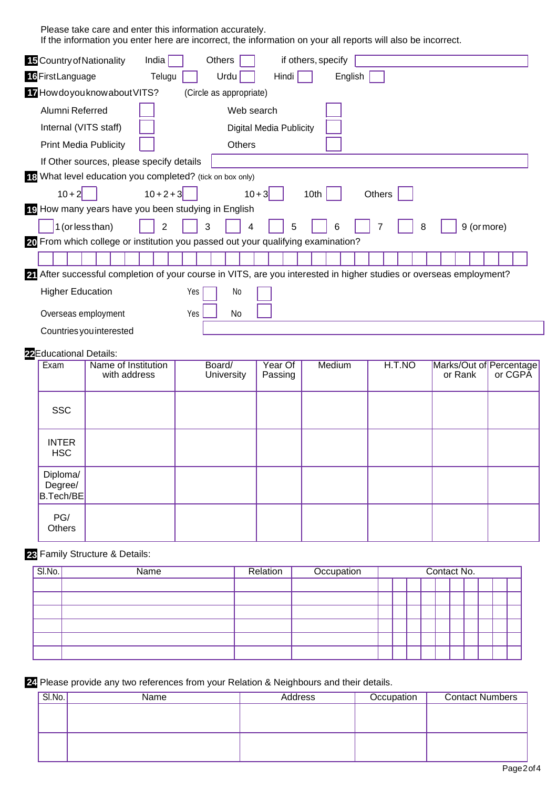Please take care and enter this information accurately.

If the information you enter here are incorrect, the information on your all reports will also be incorrect.

| 15 Country of Nationality       |                                                                                                                     | India          |     | Others |                                |          |         | if others, specify |         |        |        |   |         |                         |  |
|---------------------------------|---------------------------------------------------------------------------------------------------------------------|----------------|-----|--------|--------------------------------|----------|---------|--------------------|---------|--------|--------|---|---------|-------------------------|--|
| 16 First Language               |                                                                                                                     | Telugu         |     |        | Urdu                           |          | Hindi   |                    | English |        |        |   |         |                         |  |
|                                 | 17 How do you know about VITS?                                                                                      |                |     |        | (Circle as appropriate)        |          |         |                    |         |        |        |   |         |                         |  |
| Alumni Referred                 |                                                                                                                     |                |     |        | Web search                     |          |         |                    |         |        |        |   |         |                         |  |
| Internal (VITS staff)           |                                                                                                                     |                |     |        | <b>Digital Media Publicity</b> |          |         |                    |         |        |        |   |         |                         |  |
| <b>Print Media Publicity</b>    |                                                                                                                     |                |     |        | <b>Others</b>                  |          |         |                    |         |        |        |   |         |                         |  |
|                                 | If Other sources, please specify details                                                                            |                |     |        |                                |          |         |                    |         |        |        |   |         |                         |  |
|                                 | 18 What level education you completed? (tick on box only)                                                           |                |     |        |                                |          |         |                    |         |        |        |   |         |                         |  |
| $10 + 2$                        |                                                                                                                     | $10 + 2 + 3$   |     |        |                                | $10 + 3$ |         | 10th               |         | Others |        |   |         |                         |  |
|                                 | 19 How many years have you been studying in English                                                                 |                |     |        |                                |          |         |                    |         |        |        |   |         |                         |  |
| 1 (or less than)                |                                                                                                                     | $\overline{2}$ |     | 3      | 4                              |          | 5       |                    | 6       | 7      |        | 8 |         | 9 (or more)             |  |
|                                 | 20 From which college or institution you passed out your qualifying examination?                                    |                |     |        |                                |          |         |                    |         |        |        |   |         |                         |  |
|                                 |                                                                                                                     |                |     |        |                                |          |         |                    |         |        |        |   |         |                         |  |
|                                 | 21 After successful completion of your course in VITS, are you interested in higher studies or overseas employment? |                |     |        |                                |          |         |                    |         |        |        |   |         |                         |  |
| <b>Higher Education</b>         |                                                                                                                     |                | Yes |        | No                             |          |         |                    |         |        |        |   |         |                         |  |
| Overseas employment             |                                                                                                                     |                | Yes |        | <b>No</b>                      |          |         |                    |         |        |        |   |         |                         |  |
|                                 | Countries you interested                                                                                            |                |     |        |                                |          |         |                    |         |        |        |   |         |                         |  |
|                                 |                                                                                                                     |                |     |        |                                |          |         |                    |         |        |        |   |         |                         |  |
| 22 Educational Details:<br>Exam | Name of Institution                                                                                                 |                |     | Board/ |                                |          | Year Of | Medium             |         |        | H.T.NO |   |         | Marks/Out of Percentage |  |
|                                 | with address                                                                                                        |                |     |        | University                     |          | Passing |                    |         |        |        |   | or Rank | or CGPA                 |  |
|                                 |                                                                                                                     |                |     |        |                                |          |         |                    |         |        |        |   |         |                         |  |
| <b>SSC</b>                      |                                                                                                                     |                |     |        |                                |          |         |                    |         |        |        |   |         |                         |  |
|                                 |                                                                                                                     |                |     |        |                                |          |         |                    |         |        |        |   |         |                         |  |
| <b>INTER</b>                    |                                                                                                                     |                |     |        |                                |          |         |                    |         |        |        |   |         |                         |  |
| <b>HSC</b>                      |                                                                                                                     |                |     |        |                                |          |         |                    |         |        |        |   |         |                         |  |
| Diploma/                        |                                                                                                                     |                |     |        |                                |          |         |                    |         |        |        |   |         |                         |  |
| Degree/<br><b>B.Tech/BE</b>     |                                                                                                                     |                |     |        |                                |          |         |                    |         |        |        |   |         |                         |  |
|                                 |                                                                                                                     |                |     |        |                                |          |         |                    |         |        |        |   |         |                         |  |
| PG/<br>Others                   |                                                                                                                     |                |     |        |                                |          |         |                    |         |        |        |   |         |                         |  |

## **23** Family Structure & Details:

| $SI$ . SI.No. | <b>Name</b> | Relation | Occupation |  |  | Contact No. |  |  |
|---------------|-------------|----------|------------|--|--|-------------|--|--|
|               |             |          |            |  |  |             |  |  |
|               |             |          |            |  |  |             |  |  |
|               |             |          |            |  |  |             |  |  |
|               |             |          |            |  |  |             |  |  |
|               |             |          |            |  |  |             |  |  |
|               |             |          |            |  |  |             |  |  |

**24** Please provide any two references from your Relation & Neighbours and their details.

| SI.No. | Name | <b>Address</b> | Occupation | <b>Contact Numbers</b> |
|--------|------|----------------|------------|------------------------|
|        |      |                |            |                        |
|        |      |                |            |                        |
|        |      |                |            |                        |
|        |      |                |            |                        |
|        |      |                |            |                        |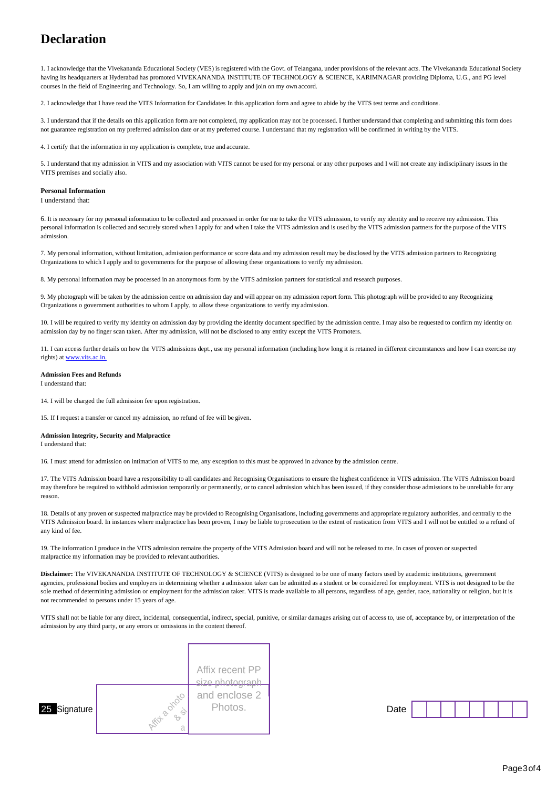# **Declaration**

1. I acknowledge that the Vivekananda Educational Society (VES) is registered with the Govt. of Telangana, under provisions of the relevant acts. The Vivekananda Educational Society having its headquarters at Hyderabad has promoted VIVEKANANDA INSTITUTE OF TECHNOLOGY & SCIENCE, KARIMNAGAR providing Diploma, U.G., and PG level courses in the field of Engineering and Technology. So, I am willing to apply and join on my own accord.

2. I acknowledge that I have read the VITS Information for Candidates In this application form and agree to abide by the VITS test terms and conditions.

3. I understand that if the details on this application form are not completed, my application may not be processed. I further understand that completing and submitting this form does not guarantee registration on my preferred admission date or at my preferred course. I understand that my registration will be confirmed in writing by the VITS.

4. I certify that the information in my application is complete, true and accurate.

5. I understand that my admission in VITS and my association with VITS cannot be used for my personal or any other purposes and I will not create any indisciplinary issues in the VITS premises and socially also.

#### **Personal Information**

I understand that:

6. It is necessary for my personal information to be collected and processed in order for me to take the VITS admission, to verify my identity and to receive my admission. This personal information is collected and securely stored when I apply for and when I take the VITS admission and is used by the VITS admission partners for the purpose of the VITS admission.

7. My personal information, without limitation, admission performance or score data and my admission result may be disclosed by the VITS admission partners to Recognizing Organizations to which I apply and to governments for the purpose of allowing these organizations to verify myadmission.

8. My personal information may be processed in an anonymous form by the VITS admission partners for statistical and research purposes.

9. My photograph will be taken by the admission centre on admission day and will appear on my admission report form. This photograph will be provided to any Recognizing Organizations o government authorities to whom I apply, to allow these organizations to verify my admission.

10. I will be required to verify my identity on admission day by providing the identity document specified by the admission centre. I may also be requested to confirm my identity on admission day by no finger scan taken. After my admission, will not be disclosed to any entity except the VITS Promoters.

11. I can access further details on how the VITS admissions dept., use my personal information (including how long it is retained in different circumstances and how I can exercise my rights) at ww

#### **Admission Fees and Refunds**

I understand that:

14. I will be charged the full admission fee upon registration.

15. If I request a transfer or cancel my admission, no refund of fee will be given.

#### **Admission Integrity, Security and Malpractice**

I understand that:

16. I must attend for admission on intimation of VITS to me, any exception to this must be approved in advance by the admission centre.

17. The VITS Admission board have a responsibility to all candidates and Recognising Organisations to ensure the highest confidence in VITS admission. The VITS Admission board may therefore be required to withhold admission temporarily or permanently, or to cancel admission which has been issued, if they consider those admissions to be unreliable for any reason.

18. Details of any proven or suspected malpractice may be provided to Recognising Organisations, including governments and appropriate regulatory authorities, and centrally to the VITS Admission board. In instances where malpractice has been proven, I may be liable to prosecution to the extent of rustication from VITS and I will not be entitled to a refund of any kind of fee.

19. The information I produce in the VITS admission remains the property of the VITS Admission board and will not be released to me. In cases of proven or suspected malpractice my information may be provided to relevant authorities.

**Disclaimer:** The VIVEKANANDA INSTITUTE OF TECHNOLOGY & SCIENCE (VITS) is designed to be one of many factors used by academic institutions, government agencies, professional bodies and employers in determining whether a admission taker can be admitted as a student or be considered for employment. VITS is not designed to be the sole method of determining admission or employment for the admission taker. VITS is made available to all persons, regardless of age, gender, race, nationality or religion, but it is not recommended to persons under 15 years of age.

VITS shall not be liable for any direct, incidental, consequential, indirect, special, punitive, or similar damages arising out of access to, use of, acceptance by, or interpretation of the admission by any third party, or any errors or omissions in the content thereof.



| $\sim$ |  |  |  |  |
|--------|--|--|--|--|